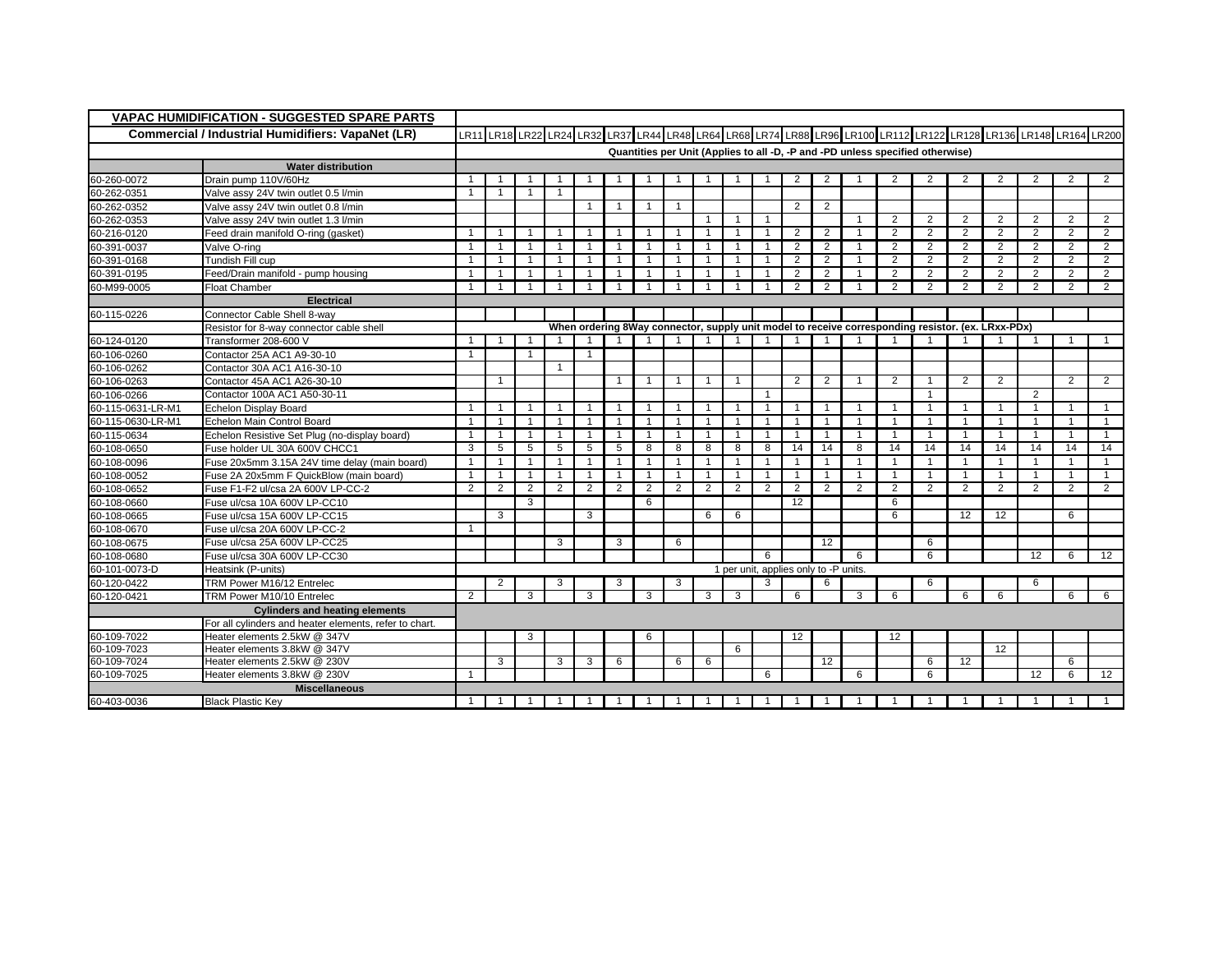| <b>VAPAC HUMIDIFICATION - SUGGESTED SPARE PARTS</b>      |                                                        |                |              |                                                                                |                |              |                |                |                |                |   |                |                                       |                   |                         |                |                |                                                                                                                  |                |                |                |                |
|----------------------------------------------------------|--------------------------------------------------------|----------------|--------------|--------------------------------------------------------------------------------|----------------|--------------|----------------|----------------|----------------|----------------|---|----------------|---------------------------------------|-------------------|-------------------------|----------------|----------------|------------------------------------------------------------------------------------------------------------------|----------------|----------------|----------------|----------------|
| <b>Commercial / Industrial Humidifiers: VapaNet (LR)</b> |                                                        |                |              |                                                                                |                |              |                |                |                |                |   |                |                                       |                   |                         |                |                | LR11 LR18 LR22 LR24 LR32 LR37 LR44 LR48 LR64 LR68 LR74 LR88 LR79 LR100 LR112 LR122 LR128 LR136 LR148 LR164 LR200 |                |                |                |                |
|                                                          |                                                        |                |              | Quantities per Unit (Applies to all -D, -P and -PD unless specified otherwise) |                |              |                |                |                |                |   |                |                                       |                   |                         |                |                |                                                                                                                  |                |                |                |                |
|                                                          | <b>Water distribution</b>                              |                |              |                                                                                |                |              |                |                |                |                |   |                |                                       |                   |                         |                |                |                                                                                                                  |                |                |                |                |
| 60-260-0072                                              | Drain pump 110V/60Hz                                   | -1             |              |                                                                                |                |              | -1             |                |                |                |   |                | 2                                     | 2                 |                         | 2              | 2              | 2                                                                                                                | 2              | 2              | 2              | $\overline{2}$ |
| 60-262-0351                                              | Valve assy 24V twin outlet 0.5 l/min                   | 1              |              |                                                                                |                |              |                |                |                |                |   |                |                                       |                   |                         |                |                |                                                                                                                  |                |                |                |                |
| 60-262-0352                                              | Valve assy 24V twin outlet 0.8 l/min                   |                |              |                                                                                |                | -1           | -1             | $\overline{1}$ | $\mathbf 1$    |                |   |                | 2                                     | 2                 |                         |                |                |                                                                                                                  |                |                |                |                |
| 60-262-0353                                              | Valve assy 24V twin outlet 1.3 l/min                   |                |              |                                                                                |                |              |                |                |                |                |   |                |                                       |                   | -1                      | 2              | 2              | 2                                                                                                                | 2              | 2              | 2              | 2              |
| 60-216-0120                                              | Feed drain manifold O-ring (gasket)                    | -1             |              |                                                                                |                |              | -1             |                | -1             |                |   | -1             | 2                                     | 2                 |                         | $\overline{2}$ | $\overline{2}$ | $\overline{2}$                                                                                                   | 2              | $\overline{2}$ | 2              | $\overline{2}$ |
| 60-391-0037                                              | Valve O-ring                                           | -1             |              |                                                                                |                |              | $\mathbf 1$    | -1             | -1             |                |   | -1             | $\overline{2}$                        | $\overline{2}$    |                         | $\overline{2}$ | $\overline{2}$ | $\overline{2}$                                                                                                   | 2              | 2              | 2              | $\overline{2}$ |
| 60-391-0168                                              | Tundish Fill cup                                       |                | -1           |                                                                                |                | $\mathbf{1}$ | $\overline{1}$ | $\overline{1}$ | $\mathbf{1}$   | -1             |   |                | $\overline{2}$                        | $\overline{2}$    | $\overline{1}$          | $\overline{2}$ | $\overline{2}$ | 2                                                                                                                | 2              | $\overline{2}$ | 2              | $\overline{2}$ |
| 60-391-0195                                              | Feed/Drain manifold - pump housing                     |                |              |                                                                                | -1             | -1           | $\mathbf{1}$   | $\overline{1}$ | $\overline{1}$ | -1             |   | -1             | 2                                     | $\overline{2}$    | -1                      | $\overline{2}$ | 2              | 2                                                                                                                | 2              | 2              | 2              | $\overline{2}$ |
| 60-M99-0005                                              | <b>Float Chamber</b>                                   | $\mathbf{1}$   | -1           |                                                                                |                |              | $\mathbf{1}$   | -1             | $\mathbf{1}$   |                |   |                | $\overline{2}$                        | $\overline{2}$    |                         | $\overline{2}$ | 2              | 2                                                                                                                | 2              | $\overline{2}$ | 2              | 2              |
|                                                          | <b>Electrical</b>                                      |                |              |                                                                                |                |              |                |                |                |                |   |                |                                       |                   |                         |                |                |                                                                                                                  |                |                |                |                |
| 60-115-0226                                              | Connector Cable Shell 8-way                            |                |              |                                                                                |                |              |                |                |                |                |   |                |                                       |                   |                         |                |                |                                                                                                                  |                |                |                |                |
|                                                          | Resistor for 8-way connector cable shell               |                |              |                                                                                |                |              |                |                |                |                |   |                |                                       |                   |                         |                |                | When ordering 8Way connector, supply unit model to receive corresponding resistor. (ex. LRxx-PDx)                |                |                |                |                |
| 60-124-0120                                              | Transformer 208-600 V                                  |                |              |                                                                                |                |              |                |                |                |                |   |                |                                       |                   |                         |                |                |                                                                                                                  |                |                |                |                |
| 60-106-0260                                              | Contactor 25A AC1 A9-30-10                             | $\overline{1}$ |              | -1                                                                             |                | 1            |                |                |                |                |   |                |                                       |                   |                         |                |                |                                                                                                                  |                |                |                |                |
| 60-106-0262                                              | Contactor 30A AC1 A16-30-10                            |                |              |                                                                                | $\mathbf{1}$   |              |                |                |                |                |   |                |                                       |                   |                         |                |                |                                                                                                                  |                |                |                |                |
| 60-106-0263                                              | Contactor 45A AC1 A26-30-10                            |                |              |                                                                                |                |              | $\overline{1}$ |                | $\mathbf 1$    |                |   |                | $\overline{2}$                        | $\overline{2}$    |                         | $\overline{2}$ |                | $\overline{2}$                                                                                                   | $\overline{2}$ |                | $\overline{2}$ | 2              |
| 60-106-0266                                              | Contactor 100A AC1 A50-30-11                           |                |              |                                                                                |                |              |                |                |                |                |   | $\overline{1}$ |                                       |                   |                         |                | -1             |                                                                                                                  |                | $\overline{2}$ |                |                |
| 60-115-0631-LR-M1                                        | <b>Echelon Display Board</b>                           | $\overline{1}$ |              |                                                                                |                |              | $\overline{1}$ | $\overline{1}$ | $\mathbf{1}$   | -1             |   | $\overline{1}$ |                                       | $\overline{1}$    |                         | $\overline{1}$ |                | $\mathbf{1}$                                                                                                     |                | $\mathbf{1}$   |                | $\overline{1}$ |
| 60-115-0630-LR-M1                                        | Echelon Main Control Board                             | -1             |              |                                                                                |                | 1            | $\overline{1}$ | $\mathbf{1}$   | $\mathbf{1}$   |                |   | $\overline{1}$ | 1                                     | $\overline{1}$    | -1                      | $\overline{1}$ |                | $\mathbf{1}$                                                                                                     | $\mathbf 1$    | 1              |                | $\overline{1}$ |
| 60-115-0634                                              | Echelon Resistive Set Plug (no-display board)          | -1             | -1           |                                                                                | $\mathbf{1}$   | 1            | $\overline{1}$ | $\overline{1}$ | $\overline{1}$ | -1             |   | $\mathbf{1}$   |                                       | $\overline{1}$    | $\overline{\mathbf{1}}$ | $\mathbf{1}$   | -1             | $\mathbf{1}$                                                                                                     | $\mathbf 1$    | $\mathbf{1}$   |                | $\overline{1}$ |
| 60-108-0650                                              | Fuse holder UL 30A 600V CHCC1                          | 3              | 5            | 5                                                                              | 5              | 5            | 5              | 8              | 8              | 8              | 8 | 8              | 14                                    | 14                | 8                       | 14             | 14             | 14                                                                                                               | 14             | 14             | 14             | 14             |
| 60-108-0096                                              | Fuse 20x5mm 3.15A 24V time delay (main board)          |                |              |                                                                                | -1             | 1            | $\mathbf{1}$   | $\overline{1}$ | $\mathbf{1}$   | -1             |   | $\mathbf{1}$   | -1                                    | $\mathbf{1}$      | $\mathbf{1}$            | $\mathbf{1}$   |                | $\mathbf{1}$                                                                                                     | $\mathbf 1$    | $\mathbf{1}$   |                | $\overline{1}$ |
| 60-108-0052                                              | Fuse 2A 20x5mm F QuickBlow (main board)                | $\mathbf{1}$   | -1           |                                                                                | -1             | 1            | $\overline{1}$ | $\overline{1}$ | $\mathbf{1}$   | -1             |   | -1             | -1                                    | $\mathbf{1}$      | $\mathbf{1}$            | $\mathbf{1}$   | -1             | $\mathbf{1}$                                                                                                     | -1             | -1             |                | $\overline{1}$ |
| 60-108-0652                                              | Fuse F1-F2 ul/csa 2A 600V LP-CC-2                      | $\overline{2}$ | 2            | 2                                                                              | $\overline{2}$ | 2            | $\overline{2}$ | $\overline{2}$ | 2              | $\overline{2}$ | 2 | $\overline{2}$ | 2                                     | $\overline{2}$    | 2                       | $\overline{2}$ | $\overline{2}$ | $\overline{2}$                                                                                                   | 2              | 2              | 2              | $\overline{2}$ |
| 60-108-0660                                              | Fuse ul/csa 10A 600V LP-CC10                           |                |              | 3                                                                              |                |              |                | 6              |                |                |   |                | 12                                    |                   |                         | 6              |                |                                                                                                                  |                |                |                |                |
| 60-108-0665                                              | Fuse ul/csa 15A 600V LP-CC15                           |                | 3            |                                                                                |                | 3            |                |                |                | 6              | 6 |                |                                       |                   |                         | 6              |                | 12                                                                                                               | 12             |                | 6              |                |
| 60-108-0670                                              | Fuse ul/csa 20A 600V LP-CC-2                           | -1             |              |                                                                                |                |              |                |                |                |                |   |                |                                       |                   |                         |                |                |                                                                                                                  |                |                |                |                |
| 60-108-0675                                              | Fuse ul/csa 25A 600V LP-CC25                           |                |              |                                                                                | 3              |              | 3              |                | 6              |                |   |                |                                       | $12 \overline{ }$ |                         |                | 6              |                                                                                                                  |                |                |                |                |
| 60-108-0680                                              | Fuse ul/csa 30A 600V LP-CC30                           |                |              |                                                                                |                |              |                |                |                |                |   | 6              |                                       |                   | 6                       |                | 6              |                                                                                                                  |                | 12             | 6              | 12             |
| 60-101-0073-D                                            | Heatsink (P-units)                                     |                |              |                                                                                |                |              |                |                |                |                |   |                | 1 per unit, applies only to -P units. |                   |                         |                |                |                                                                                                                  |                |                |                |                |
| 60-120-0422                                              | TRM Power M16/12 Entrelec                              |                | 2            |                                                                                | 3              |              | 3              |                | 3              |                |   | 3              |                                       | 6                 |                         |                | 6              |                                                                                                                  |                | 6              |                |                |
| 60-120-0421                                              | TRM Power M10/10 Entrelec                              | $\overline{2}$ |              | 3                                                                              |                | ঽ            |                | $\mathcal{R}$  |                | 3              | 3 |                | 6                                     |                   | 3                       | 6              |                | 6                                                                                                                | 6              |                | 6              | 6              |
|                                                          | <b>Cylinders and heating elements</b>                  |                |              |                                                                                |                |              |                |                |                |                |   |                |                                       |                   |                         |                |                |                                                                                                                  |                |                |                |                |
|                                                          | For all cylinders and heater elements, refer to chart. |                |              |                                                                                |                |              |                |                |                |                |   |                |                                       |                   |                         |                |                |                                                                                                                  |                |                |                |                |
| 60-109-7022                                              | Heater elements 2.5kW @ 347V                           |                |              | 3                                                                              |                |              |                | 6              |                |                |   |                | 12                                    |                   |                         | 12             |                |                                                                                                                  |                |                |                |                |
| 60-109-7023                                              | Heater elements 3.8kW @ 347V                           |                |              |                                                                                |                |              |                |                |                |                | 6 |                |                                       |                   |                         |                |                |                                                                                                                  | 12             |                |                |                |
| 60-109-7024                                              | Heater elements 2.5kW @ 230V                           |                | 3            |                                                                                | 3              | 3            | 6              |                | 6              | 6              |   |                |                                       | 12                |                         |                | 6              | 12                                                                                                               |                |                | 6              |                |
| 60-109-7025                                              | Heater elements 3.8kW @ 230V                           | $\overline{1}$ |              |                                                                                |                |              |                |                |                |                |   | 6              |                                       |                   | 6                       |                | 6              |                                                                                                                  |                | 12             | 6              | 12             |
|                                                          | <b>Miscellaneous</b>                                   |                |              |                                                                                |                |              |                |                |                |                |   |                |                                       |                   |                         |                |                |                                                                                                                  |                |                |                |                |
| 60-403-0036                                              | <b>Black Plastic Kev</b>                               | $\mathbf{1}$   | $\mathbf{1}$ |                                                                                |                |              |                |                |                |                |   |                |                                       |                   |                         |                |                |                                                                                                                  |                |                |                |                |